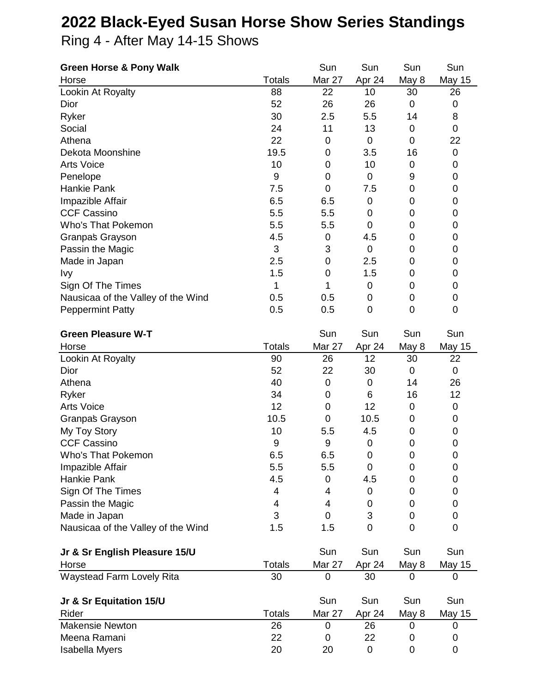## **2022 Black-Eyed Susan Horse Show Series Standings**

Ring 4 - After May 14-15 Shows

| <b>Green Horse &amp; Pony Walk</b>                  |               | Sun                 | Sun              | Sun              | Sun           |
|-----------------------------------------------------|---------------|---------------------|------------------|------------------|---------------|
| Horse                                               | <b>Totals</b> | Mar 27              | Apr 24           | May 8            | <b>May 15</b> |
| Lookin At Royalty                                   | 88            | 22                  | 10               | 30               | 26            |
| Dior                                                | 52            | 26                  | 26               | $\mathbf 0$      | $\mathbf 0$   |
| Ryker                                               | 30            | 2.5                 | 5.5              | 14               | 8             |
| Social                                              | 24            | 11                  | 13               | 0                | $\mathbf 0$   |
| Athena                                              | 22            | $\mathbf 0$         | $\mathbf 0$      | $\mathbf 0$      | 22            |
| Dekota Moonshine                                    | 19.5          | $\mathbf 0$         | 3.5              | 16               | 0             |
| <b>Arts Voice</b>                                   | 10            | 0                   | 10               | 0                | 0             |
| Penelope                                            | 9             | $\mathbf 0$         | $\mathbf 0$      | 9                | 0             |
| <b>Hankie Pank</b>                                  | 7.5           | 0                   | 7.5              | 0                | 0             |
| Impazible Affair                                    | 6.5           | 6.5                 | $\pmb{0}$        | 0                | 0             |
| <b>CCF Cassino</b>                                  | 5.5           | 5.5                 | 0                | 0                | 0             |
| Who's That Pokemon                                  | 5.5           | 5.5                 | $\mathbf 0$      | 0                | 0             |
| Granpas Grayson                                     | 4.5           | $\pmb{0}$           | 4.5              | 0                | 0             |
| Passin the Magic                                    | 3             | 3                   | $\pmb{0}$        | 0                | 0             |
| Made in Japan                                       | 2.5           | $\boldsymbol{0}$    | 2.5              | 0                | 0             |
| <b>Ivy</b>                                          | 1.5           | $\mathbf 0$         | 1.5              | 0                | 0             |
| Sign Of The Times                                   | 1             | 1                   | 0                | 0                | 0             |
| Nausicaa of the Valley of the Wind                  | 0.5           | 0.5                 | 0                | 0                | 0             |
| <b>Peppermint Patty</b>                             | 0.5           | 0.5                 | $\mathbf 0$      | $\overline{0}$   | 0             |
|                                                     |               |                     |                  |                  |               |
| <b>Green Pleasure W-T</b>                           |               | Sun                 | Sun              | Sun              | Sun           |
| Horse                                               | <b>Totals</b> | Mar 27              | Apr 24           | May 8            | <b>May 15</b> |
| Lookin At Royalty                                   | 90            | 26                  | 12               | 30               | 22            |
| Dior                                                | 52            | 22                  | 30               | 0                | $\mathbf 0$   |
| Athena                                              | 40            | $\mathbf 0$         | $\mathbf 0$      | 14               | 26            |
| Ryker                                               | 34            | $\mathbf 0$         | 6                | 16               | 12            |
| <b>Arts Voice</b>                                   | 12            | $\mathbf 0$         | 12               | 0                | 0             |
| Granpas Grayson                                     | 10.5          | $\mathbf 0$         | 10.5             | 0                | 0             |
| My Toy Story                                        | 10            | 5.5                 | 4.5              | 0                | 0             |
| <b>CCF Cassino</b>                                  | 9             | 9                   | $\pmb{0}$        | $\pmb{0}$        | 0             |
| Who's That Pokemon                                  | 6.5           | 6.5                 | $\boldsymbol{0}$ | $\boldsymbol{0}$ | $\pmb{0}$     |
| Impazible Affair                                    | 5.5           | 5.5                 | $\mathbf 0$      | 0                | 0             |
| Hankie Pank                                         | 4.5           | 0                   | 4.5              | 0                | 0             |
| Sign Of The Times                                   | 4             | 4                   | 0                | 0                | 0             |
| Passin the Magic                                    | 4<br>3        | 4<br>$\overline{0}$ | 0<br>3           | 0<br>0           | 0             |
| Made in Japan<br>Nausicaa of the Valley of the Wind | 1.5           |                     | $\overline{0}$   | 0                | 0<br>0        |
|                                                     |               | 1.5                 |                  |                  |               |
| Jr & Sr English Pleasure 15/U                       |               | Sun                 | Sun              | Sun              | Sun           |
| Horse                                               | <b>Totals</b> | Mar 27              | Apr 24           | May 8            | <b>May 15</b> |
| <b>Waystead Farm Lovely Rita</b>                    | 30            | 0                   | 30               | 0                | 0             |
|                                                     |               |                     |                  |                  |               |
| Jr & Sr Equitation 15/U                             |               | Sun                 | Sun              | Sun              | Sun           |
| Rider                                               | <b>Totals</b> | Mar 27              | Apr 24           | May 8            | <b>May 15</b> |
| <b>Makensie Newton</b>                              | 26            | 0                   | 26               | 0                | 0             |
| Meena Ramani                                        | 22            | 0                   | 22               | 0                | 0             |
| Isabella Myers                                      | 20            | 20                  | $\mathbf 0$      | 0                | 0             |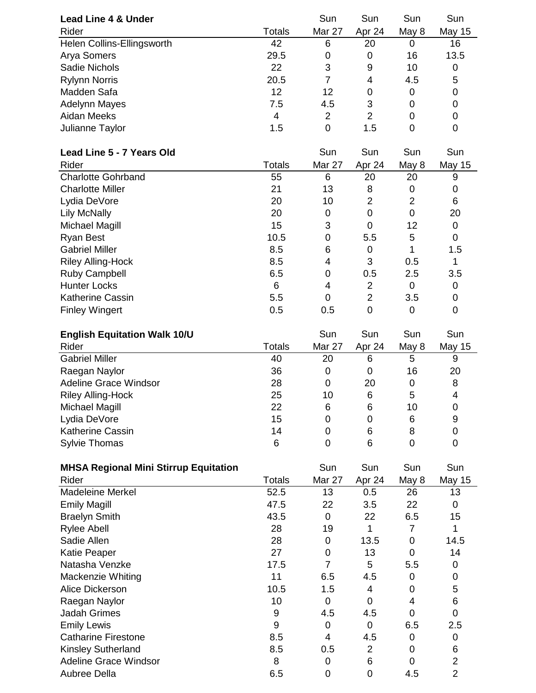| <b>Lead Line 4 &amp; Under</b> |               | Sun           | Sun    | Sun   | Sun           |
|--------------------------------|---------------|---------------|--------|-------|---------------|
| Rider                          | <b>Totals</b> | <b>Mar 27</b> | Apr 24 | May 8 | <b>May 15</b> |
| Helen Collins-Ellingsworth     | 42            | 6             | 20     | O     | 16            |
| Arya Somers                    | 29.5          | 0             | 0      | 16    | 13.5          |
| <b>Sadie Nichols</b>           | 22            | 3             | 9      | 10    | 0             |
| <b>Rylynn Norris</b>           | 20.5          |               | 4      | 4.5   | 5             |
| Madden Safa                    | 12            | 12            | 0      | 0     | 0             |
| <b>Adelynn Mayes</b>           | 7.5           | 4.5           | 3      | 0     | 0             |
| Aidan Meeks                    | 4             | 2             | 2      | 0     | 0             |
| Julianne Taylor                | 1.5           | 0             | 1.5    | 0     | 0             |

| Lead Line 5 - 7 Years Old |               | Sun           | Sun            | Sun   | Sun    |
|---------------------------|---------------|---------------|----------------|-------|--------|
| Rider                     | <b>Totals</b> | <b>Mar 27</b> | Apr 24         | May 8 | May 15 |
| <b>Charlotte Gohrband</b> | 55            | 6             | 20             | 20    | 9      |
| <b>Charlotte Miller</b>   | 21            | 13            | 8              | 0     |        |
| Lydia DeVore              | 20            | 10            | 2              | 2     | 6      |
| Lily McNally              | 20            | 0             | 0              | 0     | 20     |
| Michael Magill            | 15            | 3             | 0              | 12    | 0      |
| Ryan Best                 | 10.5          | 0             | 5.5            | 5     | 0      |
| <b>Gabriel Miller</b>     | 8.5           | 6             | 0              |       | 1.5    |
| <b>Riley Alling-Hock</b>  | 8.5           | 4             | 3              | 0.5   |        |
| Ruby Campbell             | 6.5           | 0             | 0.5            | 2.5   | 3.5    |
| <b>Hunter Locks</b>       | 6             | 4             | 2              | 0     |        |
| <b>Katherine Cassin</b>   | 5.5           | 0             | $\overline{2}$ | 3.5   |        |
| <b>Finley Wingert</b>     | 0.5           | 0.5           | 0              | 0     |        |

| <b>English Equitation Walk 10/U</b> |        | Sun    | Sun    | Sun   | Sun           |
|-------------------------------------|--------|--------|--------|-------|---------------|
| Rider                               | Totals | Mar 27 | Apr 24 | May 8 | <b>May 15</b> |
| <b>Gabriel Miller</b>               | 40     | 20     | 6      | 5     | 9             |
| Raegan Naylor                       | 36     | 0      | 0      | 16    | 20            |
| <b>Adeline Grace Windsor</b>        | 28     | 0      | 20     | 0     | 8             |
| <b>Riley Alling-Hock</b>            | 25     | 10     | 6      | 5     | 4             |
| Michael Magill                      | 22     | 6      | 6      | 10    |               |
| Lydia DeVore                        | 15     | 0      | 0      | 6     | 9             |
| <b>Katherine Cassin</b>             | 14     | 0      | 6      | 8     |               |
| <b>Sylvie Thomas</b>                | 6      | 0      | 6      |       |               |

| <b>MHSA Regional Mini Stirrup Equitation</b> |        | Sun    | Sun            | Sun   | Sun    |
|----------------------------------------------|--------|--------|----------------|-------|--------|
| Rider                                        | Totals | Mar 27 | Apr 24         | May 8 | May 15 |
| <b>Madeleine Merkel</b>                      | 52.5   | 13     | 0.5            | 26    | 13     |
| <b>Emily Magill</b>                          | 47.5   | 22     | 3.5            | 22    | 0      |
| <b>Braelyn Smith</b>                         | 43.5   | 0      | 22             | 6.5   | 15     |
| <b>Rylee Abell</b>                           | 28     | 19     | 1              |       |        |
| Sadie Allen                                  | 28     | 0      | 13.5           | 0     | 14.5   |
| <b>Katie Peaper</b>                          | 27     | 0      | 13             | 0     | 14     |
| Natasha Venzke                               | 17.5   | 7      | 5              | 5.5   | 0      |
| Mackenzie Whiting                            | 11     | 6.5    | 4.5            | 0     | 0      |
| Alice Dickerson                              | 10.5   | 1.5    | 4              | 0     | 5      |
| Raegan Naylor                                | 10     | 0      | 0              | 4     | 6      |
| <b>Jadah Grimes</b>                          | 9      | 4.5    | 4.5            | 0     | 0      |
| <b>Emily Lewis</b>                           | 9      | 0      | 0              | 6.5   | 2.5    |
| <b>Catharine Firestone</b>                   | 8.5    | 4      | 4.5            | 0     | 0      |
| <b>Kinsley Sutherland</b>                    | 8.5    | 0.5    | $\overline{2}$ | 0     | 6      |
| Adeline Grace Windsor                        | 8      | 0      | 6              | Ω     | 2      |
| Aubree Della                                 | 6.5    | 0      | 0              | 4.5   | 2      |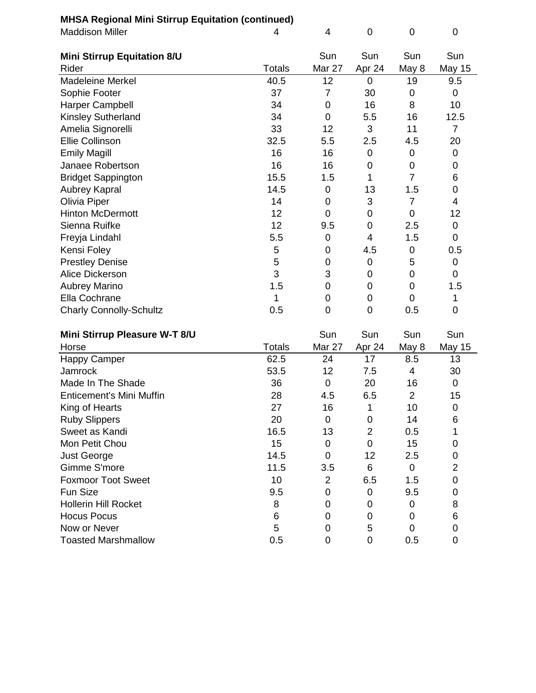|  |  | <b>MHSA Regional Mini Stirrup Equitation (continued)</b> |  |  |  |
|--|--|----------------------------------------------------------|--|--|--|
|--|--|----------------------------------------------------------|--|--|--|

| <b>MHSA Regional Mini Stirrup Equitation (continued)</b> |               |                  |                  |                  |                  |  |  |
|----------------------------------------------------------|---------------|------------------|------------------|------------------|------------------|--|--|
| <b>Maddison Miller</b>                                   | 4             | 4                | $\mathbf 0$      | 0                | $\overline{0}$   |  |  |
|                                                          |               |                  |                  |                  |                  |  |  |
| <b>Mini Stirrup Equitation 8/U</b>                       |               | Sun              | Sun              | Sun              | Sun              |  |  |
| Rider                                                    | <b>Totals</b> | Mar 27           | Apr 24           | May 8            | May 15           |  |  |
| <b>Madeleine Merkel</b>                                  | 40.5          | 12               | 0                | 19               | 9.5              |  |  |
| Sophie Footer                                            | 37            | $\overline{7}$   | 30               | 0                | 0                |  |  |
| Harper Campbell                                          | 34            | 0                | 16               | 8                | 10               |  |  |
| Kinsley Sutherland                                       | 34            | 0                | 5.5              | 16               | 12.5             |  |  |
| Amelia Signorelli                                        | 33            | 12               | 3                | 11               | 7                |  |  |
| Ellie Collinson                                          | 32.5          | 5.5              | 2.5              | 4.5              | 20               |  |  |
| <b>Emily Magill</b>                                      | 16            | 16               | $\mathbf 0$      | 0                | 0                |  |  |
| Janaee Robertson                                         | 16            | 16               | 0                | 0                | 0                |  |  |
| <b>Bridget Sappington</b>                                | 15.5          | 1.5              | 1                | $\overline{7}$   | 6                |  |  |
| <b>Aubrey Kapral</b>                                     | 14.5          | 0                | 13               | 1.5              | 0                |  |  |
| Olivia Piper                                             | 14            | 0                | 3                | $\overline{7}$   | 4                |  |  |
| <b>Hinton McDermott</b>                                  | 12            | 0                | 0                | 0                | 12               |  |  |
| Sienna Ruifke                                            | 12            | 9.5              | 0                | 2.5              | 0                |  |  |
| Freyja Lindahl                                           | 5.5           | 0                | 4                | 1.5              | 0                |  |  |
| Kensi Foley                                              | 5             | 0                | 4.5              | 0                | 0.5              |  |  |
| <b>Prestley Denise</b>                                   | 5             | $\mathbf 0$      | 0                | 5                | 0                |  |  |
| Alice Dickerson                                          | 3             | 3                | 0                | 0                | 0                |  |  |
| <b>Aubrey Marino</b>                                     | 1.5           | 0                | 0                | 0                | 1.5              |  |  |
| Ella Cochrane                                            | 1             | 0                | 0                | 0                | 1                |  |  |
| <b>Charly Connolly-Schultz</b>                           | 0.5           | 0                | $\overline{0}$   | 0.5              | 0                |  |  |
| Mini Stirrun Plassure W.T 8/11                           |               | S <sub>11D</sub> | S <sub>11D</sub> | S <sub>11D</sub> | S <sub>11D</sub> |  |  |

|    |                                                                                                                | sun                  | sun                                |
|----|----------------------------------------------------------------------------------------------------------------|----------------------|------------------------------------|
|    |                                                                                                                | May 8                | May 15                             |
| 24 | 17                                                                                                             | 8.5                  | 13                                 |
| 12 |                                                                                                                | 4                    | 30                                 |
| 0  | 20                                                                                                             | 16                   | 0                                  |
|    |                                                                                                                | 2                    | 15                                 |
| 16 |                                                                                                                | 10                   | 0                                  |
| 0  | 0                                                                                                              | 14                   | 6                                  |
| 13 | $\overline{2}$                                                                                                 | 0.5                  |                                    |
| 0  | 0                                                                                                              | 15                   | 0                                  |
| 0  | 12                                                                                                             | 2.5                  | 0                                  |
|    | 6                                                                                                              | 0                    | 2                                  |
| 2  |                                                                                                                | 1.5                  | 0                                  |
| 0  | 0                                                                                                              | 9.5                  | 0                                  |
| 0  | 0                                                                                                              |                      | 8                                  |
| 0  | 0                                                                                                              |                      | 6                                  |
| 0  | 5                                                                                                              | O                    | 0                                  |
| 0  | 0                                                                                                              | 0.5                  | 0                                  |
|    | Totals<br>62.5<br>53.5<br>36<br>4.5<br>28<br>27<br>20<br>16.5<br>15<br>14.5<br>3.5<br>11.5<br>10<br>9.5<br>0.5 | Sun<br><b>Mar 27</b> | sun<br>Apr 24<br>7.5<br>6.5<br>6.5 |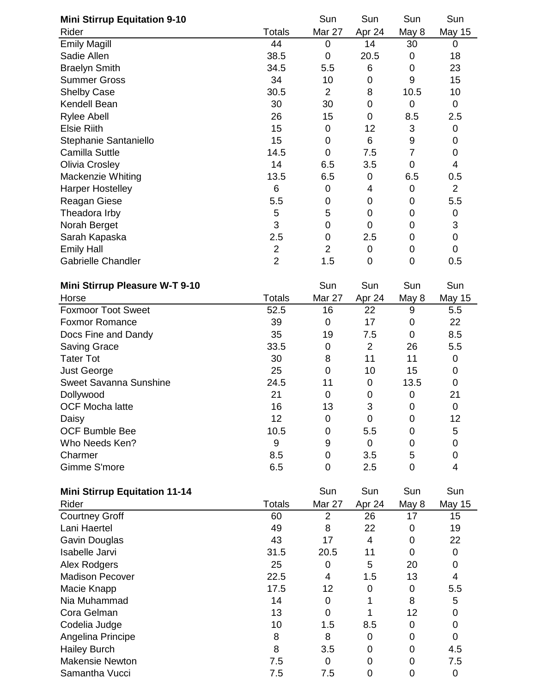| <b>Mini Stirrup Equitation 9-10</b>  |                | Sun              | Sun            | Sun              | Sun            |
|--------------------------------------|----------------|------------------|----------------|------------------|----------------|
| Rider                                | Totals         | Mar 27           | Apr 24         | May 8            | <b>May 15</b>  |
| <b>Emily Magill</b>                  | 44             | 0                | 14             | 30               | 0              |
| Sadie Allen                          | 38.5           | $\mathbf 0$      | 20.5           | $\mathbf 0$      | 18             |
| <b>Braelyn Smith</b>                 | 34.5           | 5.5              | 6              | 0                | 23             |
| <b>Summer Gross</b>                  | 34             | 10               | 0              | 9                | 15             |
| <b>Shelby Case</b>                   | 30.5           | $\overline{2}$   | 8              | 10.5             | 10             |
| Kendell Bean                         | 30             | 30               | 0              | $\mathbf 0$      | $\mathbf 0$    |
| <b>Rylee Abell</b>                   | 26             | 15               | 0              | 8.5              | 2.5            |
| <b>Elsie Riith</b>                   | 15             | $\mathbf 0$      | 12             | 3                | 0              |
| Stephanie Santaniello                | 15             | $\mathbf 0$      | 6              | $\mathsf 9$      | 0              |
| Camilla Suttle                       | 14.5           | 0                | 7.5            | $\overline{7}$   | $\mathbf 0$    |
| <b>Olivia Crosley</b>                | 14             | 6.5              | 3.5            | $\mathbf 0$      | 4              |
| Mackenzie Whiting                    | 13.5           | 6.5              | 0              | 6.5              | 0.5            |
| <b>Harper Hostelley</b>              | 6              | $\pmb{0}$        | 4              | $\boldsymbol{0}$ | $\overline{2}$ |
| Reagan Giese                         | 5.5            | 0                | 0              | 0                | 5.5            |
| Theadora Irby                        | 5              | 5                | 0              | 0                | 0              |
| Norah Berget                         | 3              | 0                | 0              | 0                | 3              |
| Sarah Kapaska                        | 2.5            | $\boldsymbol{0}$ | 2.5            | 0                | $\mathbf 0$    |
| <b>Emily Hall</b>                    | $\overline{2}$ | $\overline{2}$   | 0              | 0                | 0              |
| <b>Gabrielle Chandler</b>            | $\overline{2}$ | 1.5              | $\mathbf 0$    | 0                | 0.5            |
| Mini Stirrup Pleasure W-T 9-10       |                | Sun              | Sun            | Sun              | Sun            |
| Horse                                | <b>Totals</b>  | Mar 27           | Apr 24         | May 8            | May 15         |
| <b>Foxmoor Toot Sweet</b>            | 52.5           | 16               | 22             | 9                | 5.5            |
| <b>Foxmor Romance</b>                | 39             | $\mathbf 0$      | 17             | 0                | 22             |
| Docs Fine and Dandy                  | 35             | 19               | 7.5            | 0                | 8.5            |
| <b>Saving Grace</b>                  | 33.5           | $\mathbf 0$      | $\overline{2}$ | 26               | 5.5            |
| <b>Tater Tot</b>                     | 30             | 8                | 11             | 11               | $\mathbf 0$    |
| <b>Just George</b>                   | 25             | $\mathbf 0$      | 10             | 15               | 0              |
| Sweet Savanna Sunshine               | 24.5           | 11               | $\mathbf 0$    | 13.5             | 0              |
| Dollywood                            | 21             | $\mathbf 0$      | 0              | $\mathbf 0$      | 21             |
| <b>OCF Mocha latte</b>               | 16             | 13               | 3              | $\mathbf 0$      | $\pmb{0}$      |
| Daisy                                | 12             | $\mathbf 0$      | 0              | 0                | 12             |
| <b>OCF Bumble Bee</b>                | 10.5           | 0                | 5.5            | 0                | 5              |
| Who Needs Ken?                       | 9              | 9                | 0              | 0                | 0              |
| Charmer                              | 8.5            | 0                | 3.5            | 5                | 0              |
| Gimme S'more                         | 6.5            | 0                | 2.5            | 0                | 4              |
| <b>Mini Stirrup Equitation 11-14</b> |                | Sun              | Sun            | Sun              | Sun            |
| Rider                                | <b>Totals</b>  | Mar 27           | Apr 24         | May 8            | <b>May 15</b>  |
| <b>Courtney Groff</b>                | 60             | $\overline{2}$   | 26             | 17               | 15             |
| Lani Haertel                         | 49             | 8                | 22             | 0                | 19             |
| Gavin Douglas                        | 43             | 17               | $\overline{4}$ | 0                | 22             |
| Isabelle Jarvi                       | 31.5           | 20.5             | 11             | $\mathbf 0$      | $\pmb{0}$      |
| Alex Rodgers                         | 25             | 0                | 5              | 20               | 0              |
| <b>Madison Pecover</b>               | 22.5           | 4                | 1.5            | 13               | 4              |
| Macie Knapp                          | 17.5           | 12               | 0              | $\boldsymbol{0}$ | 5.5            |
| Nia Muhammad                         | 14             | $\mathbf 0$      | 1              | 8                | 5              |
| Cora Gelman                          | 13             | 0                | 1              | 12               | 0              |
| Codelia Judge                        | 10             | 1.5              | 8.5            | 0                | 0              |
| Angelina Principe                    | 8              | 8                | 0              | 0                | $\mathbf 0$    |
| <b>Hailey Burch</b>                  | 8              | 3.5              | 0              | 0                | 4.5            |
| <b>Makensie Newton</b>               | 7.5            | $\mathbf 0$      | 0              | 0                | 7.5            |
| Samantha Vucci                       | 7.5            | 7.5              | 0              | 0                | $\pmb{0}$      |